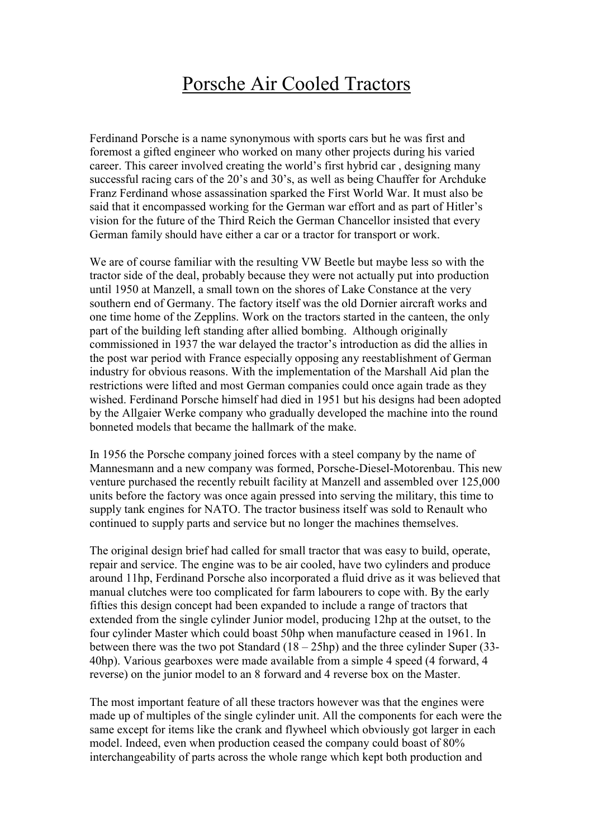## Porsche Air Cooled Tractors

Ferdinand Porsche is a name synonymous with sports cars but he was first and foremost a gifted engineer who worked on many other projects during his varied career. This career involved creating the world's first hybrid car , designing many successful racing cars of the 20's and 30's, as well as being Chauffer for Archduke Franz Ferdinand whose assassination sparked the First World War. It must also be said that it encompassed working for the German war effort and as part of Hitler's vision for the future of the Third Reich the German Chancellor insisted that every German family should have either a car or a tractor for transport or work.

We are of course familiar with the resulting VW Beetle but maybe less so with the tractor side of the deal, probably because they were not actually put into production until 1950 at Manzell, a small town on the shores of Lake Constance at the very southern end of Germany. The factory itself was the old Dornier aircraft works and one time home of the Zepplins. Work on the tractors started in the canteen, the only part of the building left standing after allied bombing. Although originally commissioned in 1937 the war delayed the tractor's introduction as did the allies in the post war period with France especially opposing any reestablishment of German industry for obvious reasons. With the implementation of the Marshall Aid plan the restrictions were lifted and most German companies could once again trade as they wished. Ferdinand Porsche himself had died in 1951 but his designs had been adopted by the Allgaier Werke company who gradually developed the machine into the round bonneted models that became the hallmark of the make.

In 1956 the Porsche company joined forces with a steel company by the name of Mannesmann and a new company was formed, Porsche-Diesel-Motorenbau. This new venture purchased the recently rebuilt facility at Manzell and assembled over 125,000 units before the factory was once again pressed into serving the military, this time to supply tank engines for NATO. The tractor business itself was sold to Renault who continued to supply parts and service but no longer the machines themselves.

The original design brief had called for small tractor that was easy to build, operate, repair and service. The engine was to be air cooled, have two cylinders and produce around 11hp, Ferdinand Porsche also incorporated a fluid drive as it was believed that manual clutches were too complicated for farm labourers to cope with. By the early fifties this design concept had been expanded to include a range of tractors that extended from the single cylinder Junior model, producing 12hp at the outset, to the four cylinder Master which could boast 50hp when manufacture ceased in 1961. In between there was the two pot Standard (18 – 25hp) and the three cylinder Super (33- 40hp). Various gearboxes were made available from a simple 4 speed (4 forward, 4 reverse) on the junior model to an 8 forward and 4 reverse box on the Master.

The most important feature of all these tractors however was that the engines were made up of multiples of the single cylinder unit. All the components for each were the same except for items like the crank and flywheel which obviously got larger in each model. Indeed, even when production ceased the company could boast of 80% interchangeability of parts across the whole range which kept both production and